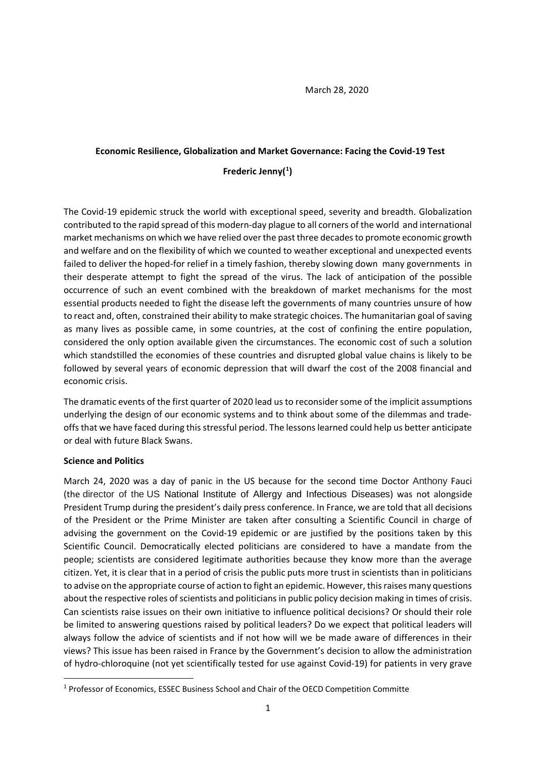March 28, 2020

### **Economic Resilience, Globalization and Market Governance: Facing the Covid-19 Test**

# **Frederic Jenny( [1](#page-0-0) )**

The Covid-19 epidemic struck the world with exceptional speed, severity and breadth. Globalization contributed to the rapid spread of this modern-day plague to all corners of the world and international market mechanisms on which we have relied over the past three decades to promote economic growth and welfare and on the flexibility of which we counted to weather exceptional and unexpected events failed to deliver the hoped-for relief in a timely fashion, thereby slowing down many governments in their desperate attempt to fight the spread of the virus. The lack of anticipation of the possible occurrence of such an event combined with the breakdown of market mechanisms for the most essential products needed to fight the disease left the governments of many countries unsure of how to react and, often, constrained their ability to make strategic choices. The humanitarian goal of saving as many lives as possible came, in some countries, at the cost of confining the entire population, considered the only option available given the circumstances. The economic cost of such a solution which standstilled the economies of these countries and disrupted global value chains is likely to be followed by several years of economic depression that will dwarf the cost of the 2008 financial and economic crisis.

The dramatic events of the first quarter of 2020 lead us to reconsider some of the implicit assumptions underlying the design of our economic systems and to think about some of the dilemmas and tradeoffs that we have faced during this stressful period. The lessons learned could help us better anticipate or deal with future Black Swans.

### **Science and Politics**

March 24, 2020 was a day of panic in the US because for the second time Doctor Anthony Fauci (the director of the US [National Institute of Allergy and Infectious Diseases](https://en.wikipedia.org/wiki/National_Institute_of_Allergy_and_Infectious_Diseases)) was not alongside President Trump during the president's daily press conference. In France, we are told that all decisions of the President or the Prime Minister are taken after consulting a Scientific Council in charge of advising the government on the Covid-19 epidemic or are justified by the positions taken by this Scientific Council. Democratically elected politicians are considered to have a mandate from the people; scientists are considered legitimate authorities because they know more than the average citizen. Yet, it is clear that in a period of crisis the public puts more trust in scientists than in politicians to advise on the appropriate course of action to fight an epidemic. However, this raises many questions about the respective roles of scientists and politicians in public policy decision making in times of crisis. Can scientists raise issues on their own initiative to influence political decisions? Or should their role be limited to answering questions raised by political leaders? Do we expect that political leaders will always follow the advice of scientists and if not how will we be made aware of differences in their views? This issue has been raised in France by the Government's decision to allow the administration of hydro-chloroquine (not yet scientifically tested for use against Covid-19) for patients in very grave

<span id="page-0-0"></span> <sup>1</sup> Professor of Economics, ESSEC Business School and Chair of the OECD Competition Committe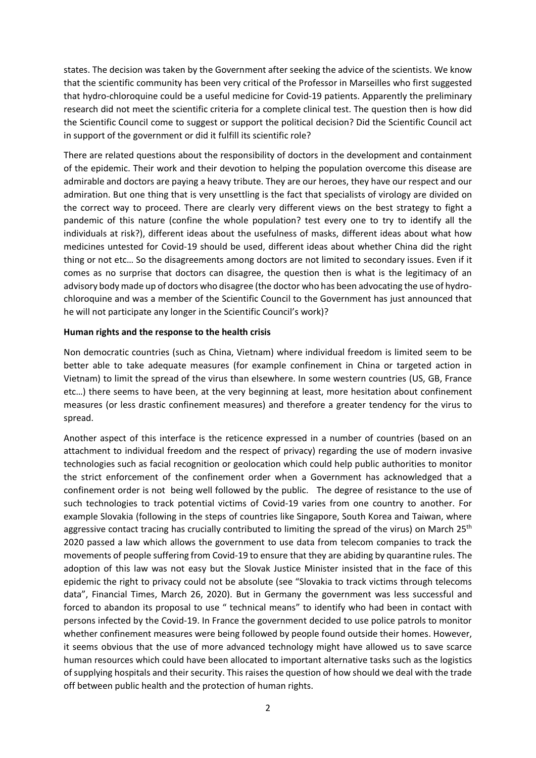states. The decision was taken by the Government after seeking the advice of the scientists. We know that the scientific community has been very critical of the Professor in Marseilles who first suggested that hydro-chloroquine could be a useful medicine for Covid-19 patients. Apparently the preliminary research did not meet the scientific criteria for a complete clinical test. The question then is how did the Scientific Council come to suggest or support the political decision? Did the Scientific Council act in support of the government or did it fulfill its scientific role?

There are related questions about the responsibility of doctors in the development and containment of the epidemic. Their work and their devotion to helping the population overcome this disease are admirable and doctors are paying a heavy tribute. They are our heroes, they have our respect and our admiration. But one thing that is very unsettling is the fact that specialists of virology are divided on the correct way to proceed. There are clearly very different views on the best strategy to fight a pandemic of this nature (confine the whole population? test every one to try to identify all the individuals at risk?), different ideas about the usefulness of masks, different ideas about what how medicines untested for Covid-19 should be used, different ideas about whether China did the right thing or not etc… So the disagreements among doctors are not limited to secondary issues. Even if it comes as no surprise that doctors can disagree, the question then is what is the legitimacy of an advisory body made up of doctors who disagree (the doctor who has been advocating the use of hydrochloroquine and was a member of the Scientific Council to the Government has just announced that he will not participate any longer in the Scientific Council's work)?

### **Human rights and the response to the health crisis**

Non democratic countries (such as China, Vietnam) where individual freedom is limited seem to be better able to take adequate measures (for example confinement in China or targeted action in Vietnam) to limit the spread of the virus than elsewhere. In some western countries (US, GB, France etc…) there seems to have been, at the very beginning at least, more hesitation about confinement measures (or less drastic confinement measures) and therefore a greater tendency for the virus to spread.

Another aspect of this interface is the reticence expressed in a number of countries (based on an attachment to individual freedom and the respect of privacy) regarding the use of modern invasive technologies such as facial recognition or geolocation which could help public authorities to monitor the strict enforcement of the confinement order when a Government has acknowledged that a confinement order is not being well followed by the public. The degree of resistance to the use of such technologies to track potential victims of Covid-19 varies from one country to another. For example Slovakia (following in the steps of countries like Singapore, South Korea and Taiwan, where aggressive contact tracing has crucially contributed to limiting the spread of the virus) on March 25<sup>th</sup> 2020 passed a law which allows the government to use data from telecom companies to track the movements of people suffering from Covid-19 to ensure that they are abiding by quarantine rules. The adoption of this law was not easy but the Slovak Justice Minister insisted that in the face of this epidemic the right to privacy could not be absolute (see "Slovakia to track victims through telecoms data", Financial Times, March 26, 2020). But in Germany the government was less successful and forced to abandon its proposal to use " technical means" to identify who had been in contact with persons infected by the Covid-19. In France the government decided to use police patrols to monitor whether confinement measures were being followed by people found outside their homes. However, it seems obvious that the use of more advanced technology might have allowed us to save scarce human resources which could have been allocated to important alternative tasks such as the logistics of supplying hospitals and their security. This raises the question of how should we deal with the trade off between public health and the protection of human rights.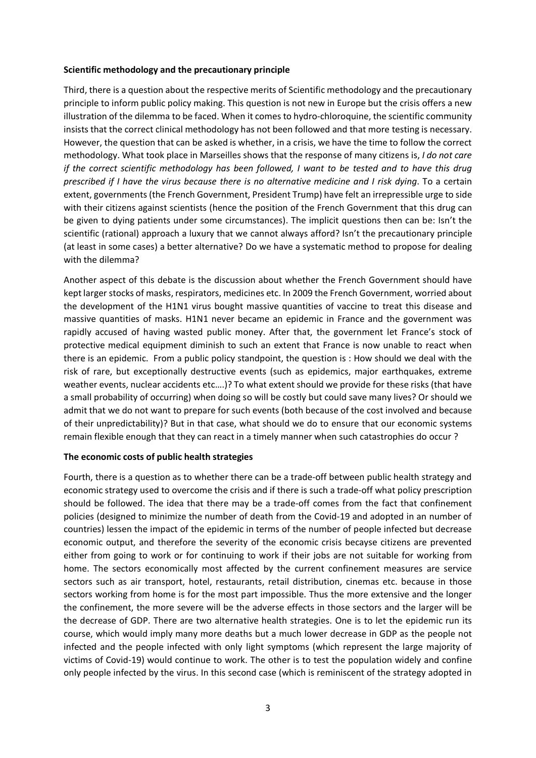### **Scientific methodology and the precautionary principle**

Third, there is a question about the respective merits of Scientific methodology and the precautionary principle to inform public policy making. This question is not new in Europe but the crisis offers a new illustration of the dilemma to be faced. When it comes to hydro-chloroquine, the scientific community insists that the correct clinical methodology has not been followed and that more testing is necessary. However, the question that can be asked is whether, in a crisis, we have the time to follow the correct methodology. What took place in Marseilles shows that the response of many citizens is, *I do not care if the correct scientific methodology has been followed, I want to be tested and to have this drug prescribed if I have the virus because there is no alternative medicine and I risk dying*. To a certain extent, governments (the French Government, President Trump) have felt an irrepressible urge to side with their citizens against scientists (hence the position of the French Government that this drug can be given to dying patients under some circumstances). The implicit questions then can be: Isn't the scientific (rational) approach a luxury that we cannot always afford? Isn't the precautionary principle (at least in some cases) a better alternative? Do we have a systematic method to propose for dealing with the dilemma?

Another aspect of this debate is the discussion about whether the French Government should have kept larger stocks of masks, respirators, medicines etc. In 2009 the French Government, worried about the development of the H1N1 virus bought massive quantities of vaccine to treat this disease and massive quantities of masks. H1N1 never became an epidemic in France and the government was rapidly accused of having wasted public money. After that, the government let France's stock of protective medical equipment diminish to such an extent that France is now unable to react when there is an epidemic. From a public policy standpoint, the question is : How should we deal with the risk of rare, but exceptionally destructive events (such as epidemics, major earthquakes, extreme weather events, nuclear accidents etc….)? To what extent should we provide for these risks (that have a small probability of occurring) when doing so will be costly but could save many lives? Or should we admit that we do not want to prepare for such events (both because of the cost involved and because of their unpredictability)? But in that case, what should we do to ensure that our economic systems remain flexible enough that they can react in a timely manner when such catastrophies do occur ?

### **The economic costs of public health strategies**

Fourth, there is a question as to whether there can be a trade-off between public health strategy and economic strategy used to overcome the crisis and if there is such a trade-off what policy prescription should be followed. The idea that there may be a trade-off comes from the fact that confinement policies (designed to minimize the number of death from the Covid-19 and adopted in an number of countries) lessen the impact of the epidemic in terms of the number of people infected but decrease economic output, and therefore the severity of the economic crisis becayse citizens are prevented either from going to work or for continuing to work if their jobs are not suitable for working from home. The sectors economically most affected by the current confinement measures are service sectors such as air transport, hotel, restaurants, retail distribution, cinemas etc. because in those sectors working from home is for the most part impossible. Thus the more extensive and the longer the confinement, the more severe will be the adverse effects in those sectors and the larger will be the decrease of GDP. There are two alternative health strategies. One is to let the epidemic run its course, which would imply many more deaths but a much lower decrease in GDP as the people not infected and the people infected with only light symptoms (which represent the large majority of victims of Covid-19) would continue to work. The other is to test the population widely and confine only people infected by the virus. In this second case (which is reminiscent of the strategy adopted in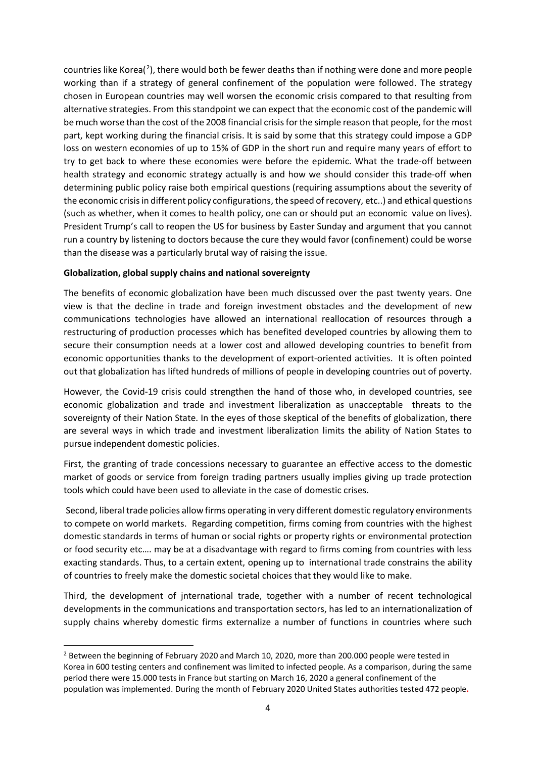countries like Korea( $^2$  $^2$ ), there would both be fewer deaths than if nothing were done and more people working than if a strategy of general confinement of the population were followed. The strategy chosen in European countries may well worsen the economic crisis compared to that resulting from alternative strategies. From this standpoint we can expect that the economic cost of the pandemic will be much worse than the cost of the 2008 financial crisis for the simple reason that people, for the most part, kept working during the financial crisis. It is said by some that this strategy could impose a GDP loss on western economies of up to 15% of GDP in the short run and require many years of effort to try to get back to where these economies were before the epidemic. What the trade-off between health strategy and economic strategy actually is and how we should consider this trade-off when determining public policy raise both empirical questions (requiring assumptions about the severity of the economic crisis in different policy configurations, the speed of recovery, etc..) and ethical questions (such as whether, when it comes to health policy, one can or should put an economic value on lives). President Trump's call to reopen the US for business by Easter Sunday and argument that you cannot run a country by listening to doctors because the cure they would favor (confinement) could be worse than the disease was a particularly brutal way of raising the issue.

## **Globalization, global supply chains and national sovereignty**

The benefits of economic globalization have been much discussed over the past twenty years. One view is that the decline in trade and foreign investment obstacles and the development of new communications technologies have allowed an international reallocation of resources through a restructuring of production processes which has benefited developed countries by allowing them to secure their consumption needs at a lower cost and allowed developing countries to benefit from economic opportunities thanks to the development of export-oriented activities. It is often pointed out that globalization has lifted hundreds of millions of people in developing countries out of poverty.

However, the Covid-19 crisis could strengthen the hand of those who, in developed countries, see economic globalization and trade and investment liberalization as unacceptable threats to the sovereignty of their Nation State. In the eyes of those skeptical of the benefits of globalization, there are several ways in which trade and investment liberalization limits the ability of Nation States to pursue independent domestic policies.

First, the granting of trade concessions necessary to guarantee an effective access to the domestic market of goods or service from foreign trading partners usually implies giving up trade protection tools which could have been used to alleviate in the case of domestic crises.

Second, liberal trade policies allow firms operating in very different domestic regulatory environments to compete on world markets. Regarding competition, firms coming from countries with the highest domestic standards in terms of human or social rights or property rights or environmental protection or food security etc…. may be at a disadvantage with regard to firms coming from countries with less exacting standards. Thus, to a certain extent, opening up to international trade constrains the ability of countries to freely make the domestic societal choices that they would like to make.

Third, the development of jnternational trade, together with a number of recent technological developments in the communications and transportation sectors, has led to an internationalization of supply chains whereby domestic firms externalize a number of functions in countries where such

<span id="page-3-0"></span><sup>&</sup>lt;sup>2</sup> Between the beginning of February 2020 and March 10, 2020, more than 200.000 people were tested in Korea in 600 testing centers and confinement was limited to infected people. As a comparison, during the same period there were 15.000 tests in France but starting on March 16, 2020 a general confinement of the population was implemented. During the month of February 2020 United States authorities tested 472 people**.**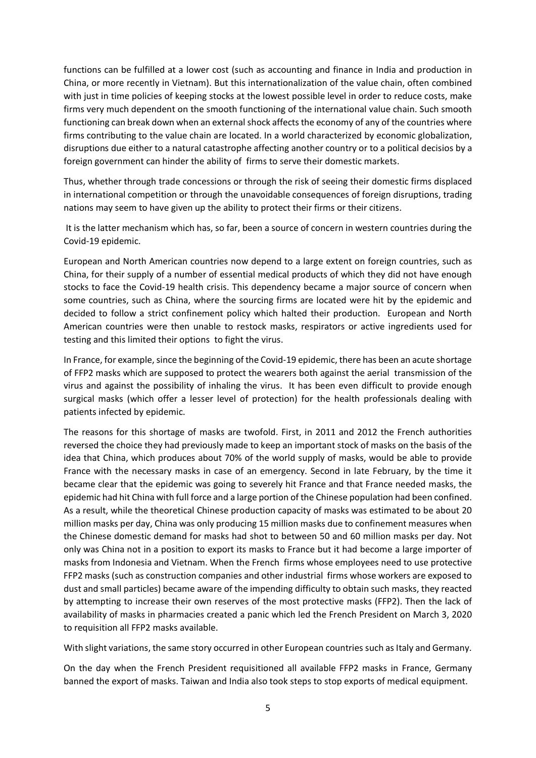functions can be fulfilled at a lower cost (such as accounting and finance in India and production in China, or more recently in Vietnam). But this internationalization of the value chain, often combined with just in time policies of keeping stocks at the lowest possible level in order to reduce costs, make firms very much dependent on the smooth functioning of the international value chain. Such smooth functioning can break down when an external shock affects the economy of any of the countries where firms contributing to the value chain are located. In a world characterized by economic globalization, disruptions due either to a natural catastrophe affecting another country or to a political decisios by a foreign government can hinder the ability of firms to serve their domestic markets.

Thus, whether through trade concessions or through the risk of seeing their domestic firms displaced in international competition or through the unavoidable consequences of foreign disruptions, trading nations may seem to have given up the ability to protect their firms or their citizens.

It is the latter mechanism which has, so far, been a source of concern in western countries during the Covid-19 epidemic.

European and North American countries now depend to a large extent on foreign countries, such as China, for their supply of a number of essential medical products of which they did not have enough stocks to face the Covid-19 health crisis. This dependency became a major source of concern when some countries, such as China, where the sourcing firms are located were hit by the epidemic and decided to follow a strict confinement policy which halted their production. European and North American countries were then unable to restock masks, respirators or active ingredients used for testing and this limited their options to fight the virus.

In France, for example, since the beginning of the Covid-19 epidemic, there has been an acute shortage of FFP2 masks which are supposed to protect the wearers both against the aerial transmission of the virus and against the possibility of inhaling the virus. It has been even difficult to provide enough surgical masks (which offer a lesser level of protection) for the health professionals dealing with patients infected by epidemic.

The reasons for this shortage of masks are twofold. First, in 2011 and 2012 the French authorities reversed the choice they had previously made to keep an important stock of masks on the basis of the idea that China, which produces about 70% of the world supply of masks, would be able to provide France with the necessary masks in case of an emergency. Second in late February, by the time it became clear that the epidemic was going to severely hit France and that France needed masks, the epidemic had hit China with full force and a large portion of the Chinese population had been confined. As a result, while the theoretical Chinese production capacity of masks was estimated to be about 20 million masks per day, China was only producing 15 million masks due to confinement measures when the Chinese domestic demand for masks had shot to between 50 and 60 million masks per day. Not only was China not in a position to export its masks to France but it had become a large importer of masks from Indonesia and Vietnam. When the French firms whose employees need to use protective FFP2 masks (such as construction companies and other industrial firms whose workers are exposed to dust and small particles) became aware of the impending difficulty to obtain such masks, they reacted by attempting to increase their own reserves of the most protective masks (FFP2). Then the lack of availability of masks in pharmacies created a panic which led the French President on March 3, 2020 to requisition all FFP2 masks available.

With slight variations, the same story occurred in other European countries such as Italy and Germany.

On the day when the French President requisitioned all available FFP2 masks in France, Germany banned the export of masks. Taiwan and India also took steps to stop exports of medical equipment.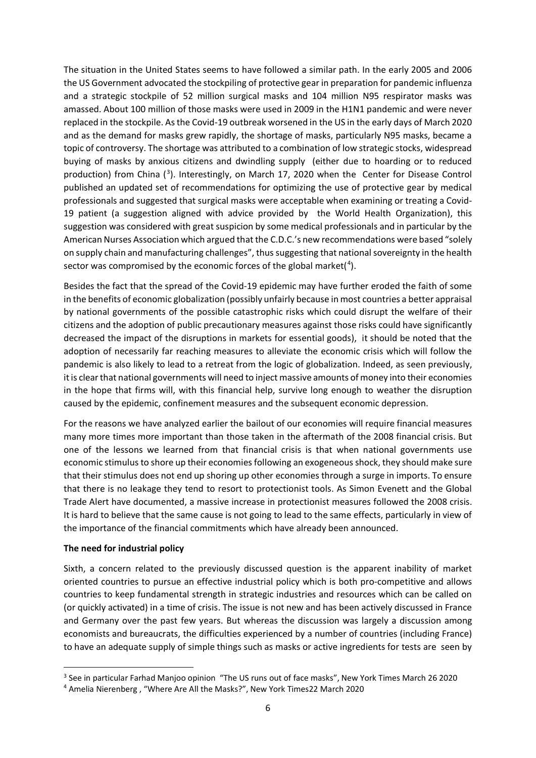The situation in the United States seems to have followed a similar path. In the early 2005 and 2006 the US Government advocated the stockpiling of protective gear in preparation for pandemic influenza and a strategic stockpile of 52 million surgical masks and 104 million N95 respirator masks was amassed. About 100 million of those masks were used in 2009 in the H1N1 pandemic and were never replaced in the stockpile. As the Covid-19 outbreak worsened in the US in the early days of March 2020 and as the demand for masks grew rapidly, the shortage of masks, particularly N95 masks, became a topic of controversy. The shortage was attributed to a combination of low strategic stocks, widespread buying of masks by anxious citizens and dwindling supply (either due to hoarding or to reduced production) from China (<sup>[3](#page-5-0)</sup>). Interestingly, on March 17, 2020 when the Center for Disease Control published an updated set of recommendations for optimizing the use of protective gear by medical professionals and suggested that surgical masks were acceptable when examining or treating a Covid-19 patient (a suggestion aligned with advice provided by the World Health Organization), this suggestion was considered with great suspicion by some medical professionals and in particular by the American Nurses Association which argued that the C.D.C.'s new recommendations were based "solely on supply chain and manufacturing challenges", thus suggesting that national sovereignty in the health sector was compromised by the economic forces of the global market( $4$ ).

Besides the fact that the spread of the Covid-19 epidemic may have further eroded the faith of some in the benefits of economic globalization (possibly unfairly because in most countries a better appraisal by national governments of the possible catastrophic risks which could disrupt the welfare of their citizens and the adoption of public precautionary measures against those risks could have significantly decreased the impact of the disruptions in markets for essential goods), it should be noted that the adoption of necessarily far reaching measures to alleviate the economic crisis which will follow the pandemic is also likely to lead to a retreat from the logic of globalization. Indeed, as seen previously, itis clear that national governments will need to inject massive amounts of money into their economies in the hope that firms will, with this financial help, survive long enough to weather the disruption caused by the epidemic, confinement measures and the subsequent economic depression.

For the reasons we have analyzed earlier the bailout of our economies will require financial measures many more times more important than those taken in the aftermath of the 2008 financial crisis. But one of the lessons we learned from that financial crisis is that when national governments use economic stimulus to shore up their economiesfollowing an exogeneous shock, they should make sure that their stimulus does not end up shoring up other economies through a surge in imports. To ensure that there is no leakage they tend to resort to protectionist tools. As Simon Evenett and the Global Trade Alert have documented, a massive increase in protectionist measures followed the 2008 crisis. It is hard to believe that the same cause is not going to lead to the same effects, particularly in view of the importance of the financial commitments which have already been announced.

### **The need for industrial policy**

Sixth, a concern related to the previously discussed question is the apparent inability of market oriented countries to pursue an effective industrial policy which is both pro-competitive and allows countries to keep fundamental strength in strategic industries and resources which can be called on (or quickly activated) in a time of crisis. The issue is not new and has been actively discussed in France and Germany over the past few years. But whereas the discussion was largely a discussion among economists and bureaucrats, the difficulties experienced by a number of countries (including France) to have an adequate supply of simple things such as masks or active ingredients for tests are seen by

<span id="page-5-0"></span><sup>&</sup>lt;sup>3</sup> See in particular Farhad Manjoo opinion "The US runs out of face masks", New York Times March 26 2020 4 Amelia Nierenberg , "Where Are All the Masks?", New York Times22 March 2020

<span id="page-5-1"></span>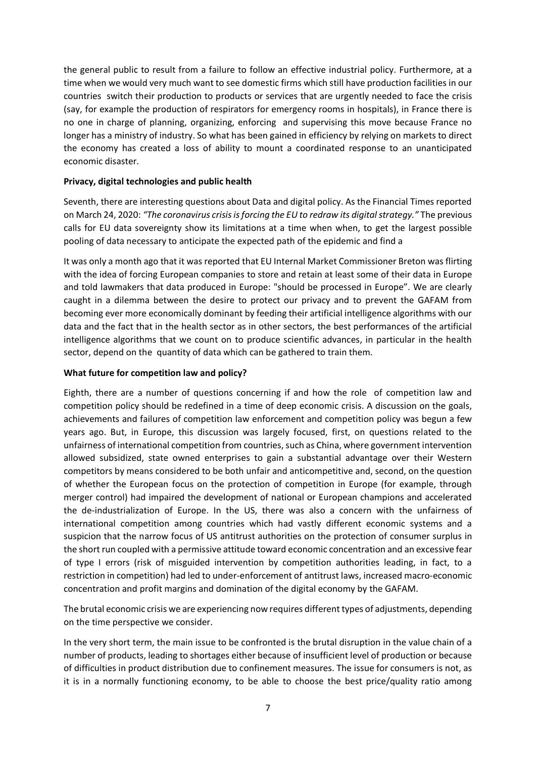the general public to result from a failure to follow an effective industrial policy. Furthermore, at a time when we would very much want to see domestic firms which still have production facilities in our countries switch their production to products or services that are urgently needed to face the crisis (say, for example the production of respirators for emergency rooms in hospitals), in France there is no one in charge of planning, organizing, enforcing and supervising this move because France no longer has a ministry of industry. So what has been gained in efficiency by relying on markets to direct the economy has created a loss of ability to mount a coordinated response to an unanticipated economic disaster.

### **Privacy, digital technologies and public health**

Seventh, there are interesting questions about Data and digital policy. As the Financial Times reported on March 24, 2020: *"The coronavirus crisis is forcing the EU to redraw its digital strategy."* The previous calls for EU data sovereignty show its limitations at a time when when, to get the largest possible pooling of data necessary to anticipate the expected path of the epidemic and find a

It was only a month ago that it was reported that EU Internal Market Commissioner Breton was flirting with the idea of forcing European companies to store and retain at least some of their data in Europe and told lawmakers that data produced in Europe: "should be processed in Europe". We are clearly caught in a dilemma between the desire to protect our privacy and to prevent the GAFAM from becoming ever more economically dominant by feeding their artificial intelligence algorithms with our data and the fact that in the health sector as in other sectors, the best performances of the artificial intelligence algorithms that we count on to produce scientific advances, in particular in the health sector, depend on the quantity of data which can be gathered to train them.

## **What future for competition law and policy?**

Eighth, there are a number of questions concerning if and how the role of competition law and competition policy should be redefined in a time of deep economic crisis. A discussion on the goals, achievements and failures of competition law enforcement and competition policy was begun a few years ago. But, in Europe, this discussion was largely focused, first, on questions related to the unfairness of international competition from countries, such as China, where government intervention allowed subsidized, state owned enterprises to gain a substantial advantage over their Western competitors by means considered to be both unfair and anticompetitive and, second, on the question of whether the European focus on the protection of competition in Europe (for example, through merger control) had impaired the development of national or European champions and accelerated the de-industrialization of Europe. In the US, there was also a concern with the unfairness of international competition among countries which had vastly different economic systems and a suspicion that the narrow focus of US antitrust authorities on the protection of consumer surplus in the short run coupled with a permissive attitude toward economic concentration and an excessive fear of type I errors (risk of misguided intervention by competition authorities leading, in fact, to a restriction in competition) had led to under-enforcement of antitrust laws, increased macro-economic concentration and profit margins and domination of the digital economy by the GAFAM.

The brutal economic crisis we are experiencing now requires different types of adjustments, depending on the time perspective we consider.

In the very short term, the main issue to be confronted is the brutal disruption in the value chain of a number of products, leading to shortages either because of insufficient level of production or because of difficulties in product distribution due to confinement measures. The issue for consumers is not, as it is in a normally functioning economy, to be able to choose the best price/quality ratio among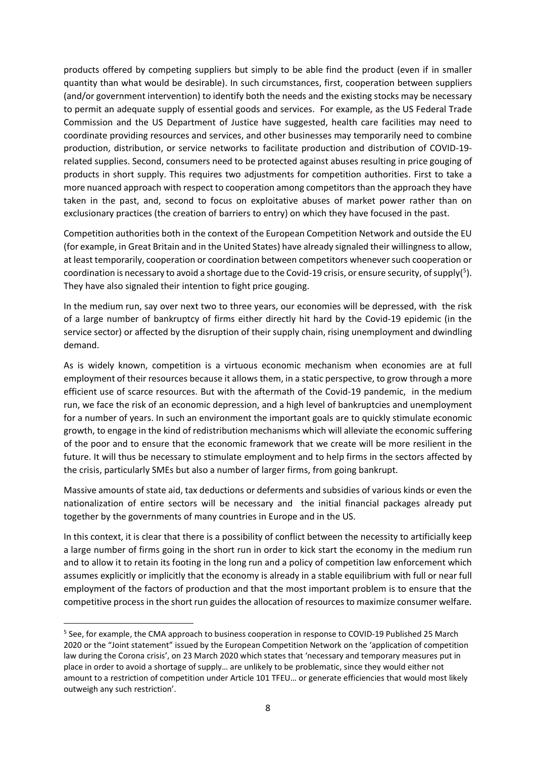products offered by competing suppliers but simply to be able find the product (even if in smaller quantity than what would be desirable). In such circumstances, first, cooperation between suppliers (and/or government intervention) to identify both the needs and the existing stocks may be necessary to permit an adequate supply of essential goods and services. For example**,** as the US Federal Trade Commission and the US Department of Justice have suggested, health care facilities may need to coordinate providing resources and services, and other businesses may temporarily need to combine production, distribution, or service networks to facilitate production and distribution of COVID-19 related supplies. Second, consumers need to be protected against abuses resulting in price gouging of products in short supply. This requires two adjustments for competition authorities. First to take a more nuanced approach with respect to cooperation among competitors than the approach they have taken in the past, and, second to focus on exploitative abuses of market power rather than on exclusionary practices (the creation of barriers to entry) on which they have focused in the past.

Competition authorities both in the context of the European Competition Network and outside the EU (for example, in Great Britain and in the United States) have already signaled their willingnessto allow, at least temporarily, cooperation or coordination between competitors whenever such cooperation or coordination is necessary to avoid a shortage due to the Covid-19 crisis, or ensure security, of supply(<sup>[5](#page-7-0)</sup>). They have also signaled their intention to fight price gouging.

In the medium run, say over next two to three years, our economies will be depressed, with the risk of a large number of bankruptcy of firms either directly hit hard by the Covid-19 epidemic (in the service sector) or affected by the disruption of their supply chain, rising unemployment and dwindling demand.

As is widely known, competition is a virtuous economic mechanism when economies are at full employment of their resources because it allows them, in a static perspective, to grow through a more efficient use of scarce resources. But with the aftermath of the Covid-19 pandemic, in the medium run, we face the risk of an economic depression, and a high level of bankruptcies and unemployment for a number of years. In such an environment the important goals are to quickly stimulate economic growth, to engage in the kind of redistribution mechanisms which will alleviate the economic suffering of the poor and to ensure that the economic framework that we create will be more resilient in the future. It will thus be necessary to stimulate employment and to help firms in the sectors affected by the crisis, particularly SMEs but also a number of larger firms, from going bankrupt.

Massive amounts of state aid, tax deductions or deferments and subsidies of various kinds or even the nationalization of entire sectors will be necessary and the initial financial packages already put together by the governments of many countries in Europe and in the US.

In this context, it is clear that there is a possibility of conflict between the necessity to artificially keep a large number of firms going in the short run in order to kick start the economy in the medium run and to allow it to retain its footing in the long run and a policy of competition law enforcement which assumes explicitly or implicitly that the economy is already in a stable equilibrium with full or near full employment of the factors of production and that the most important problem is to ensure that the competitive process in the short run guides the allocation of resources to maximize consumer welfare.

<span id="page-7-0"></span><sup>&</sup>lt;sup>5</sup> See, for example, the CMA approach to business cooperation in response to COVID-19 Published 25 March 2020 or the "Joint statement" issued by the European Competition Network on the 'application of competition law during the Corona crisis', on 23 March 2020 which states that 'necessary and temporary measures put in place in order to avoid a shortage of supply… are unlikely to be problematic, since they would either not amount to a restriction of competition under Article 101 TFEU… or generate efficiencies that would most likely outweigh any such restriction'.